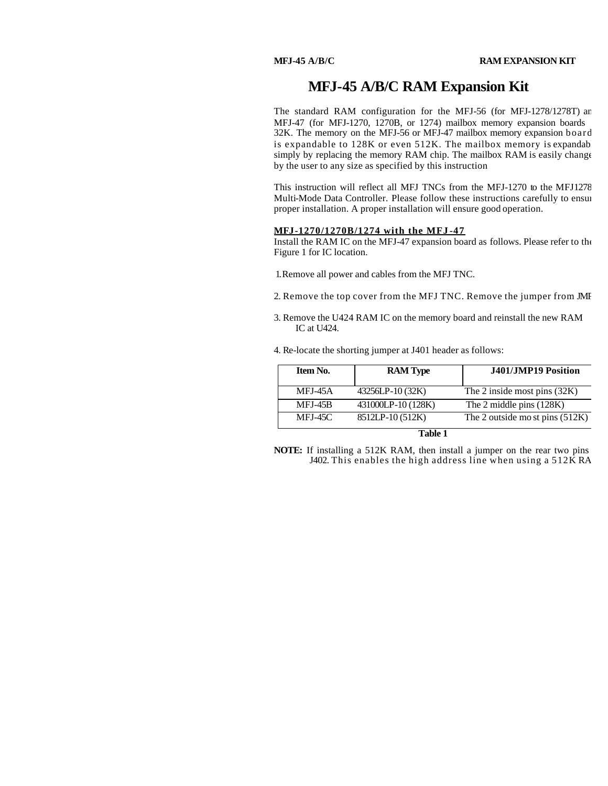## **MFJ-45 A/B/C RAM Expansion Kit**

The standard RAM configuration for the MFJ-56 (for MFJ-1278/1278T) and MFJ-47 (for MFJ-1270, 1270B, or 1274) mailbox memory expansion boards 32K. The memory on the MFJ-56 or MFJ-47 mailbox memory expansion boards is expandable to  $128K$  or even  $512K$ . The mailbox memory is expandab simply by replacing the memory RAM chip. The mailbox RAM is easily change by the user to any size as specified by this instruction

This instruction will reflect all MFJ TNCs from the MFJ-1270 to the MFJ1278 Multi-Mode Data Controller. Please follow these instructions carefully to ensure proper installation. A proper installation will ensure good operation.

### **MFJ-1270/1270B/1274 with the MFJ -47**

Install the RAM IC on the MFJ-47 expansion board as follows. Please refer to the Figure 1 for IC location.

1. Remove all power and cables from the MFJ TNC.

- 2. Remove the top cover from the MFJ TNC. Remove the jumper from JMF
- 3. Remove the U424 RAM IC on the memory board and reinstall the new RAM IC at U424.

4. Re-locate the shorting jumper at J401 header as follows:

| Item No.      | <b>RAM</b> Type    | J401/JMP19 Position              |  |
|---------------|--------------------|----------------------------------|--|
| MFJ-45A       | 43256LP-10 (32K)   | The 2 inside most pins $(32K)$   |  |
| MFJ-45B       | 431000LP-10 (128K) | The 2 middle pins (128K)         |  |
| MFJ-45C       | 8512LP-10 (512K)   | The 2 outside most pins $(512K)$ |  |
| <b>m</b> 11 4 |                    |                                  |  |

**Table 1**

**NOTE:** If installing a 512K RAM, then install a jumper on the rear two pins  $J402$ . This enables the high address line when using a  $512KRA$ .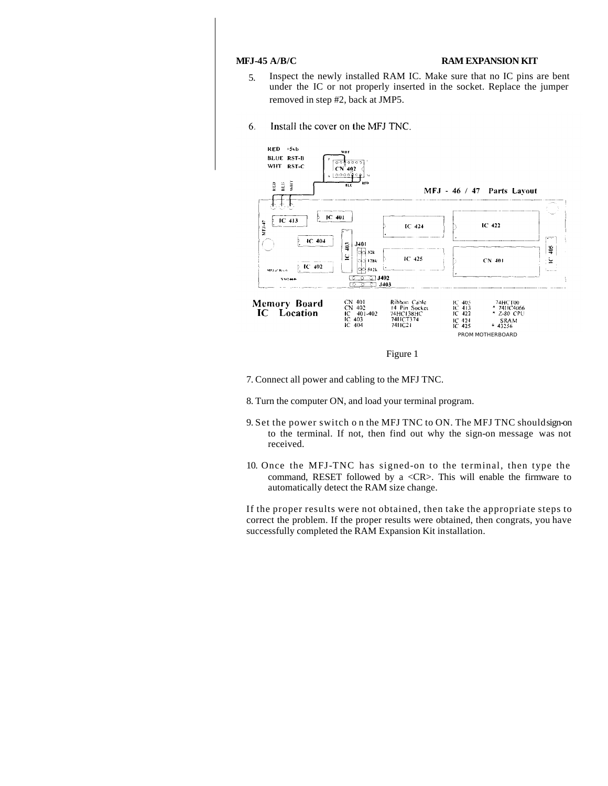## **MFJ-45 A/B/C RAM EXPANSION KIT**

- 5. Inspect the newly installed RAM IC. Make sure that no IC pins are bent under the IC or not properly inserted in the socket. Replace the jumper removed in step #2, back at JMP5.
- 6. Install the cover on the MFJ TNC.





- 7. Connect all power and cabling to the MFJ TNC.
- 8. Turn the computer ON, and load your terminal program.
- 9. Set the power switch o n the MFJ TNC to ON. The MFJ TNC should sign-on to the terminal. If not, then find out why the sign-on message was not received.
- 10. Once the MFJ-TNC has signed-on to the terminal, then type the command, RESET followed by a <CR>. This will enable the firmware to automatically detect the RAM size change.

If the proper results were not obtained, then take the appropriate steps to correct the problem. If the proper results were obtained, then congrats, you have successfully completed the RAM Expansion Kit installation.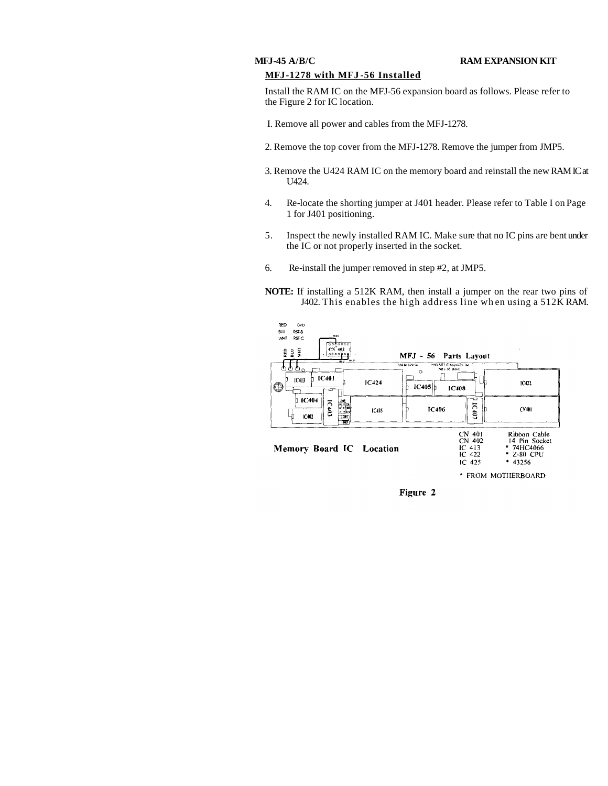### **MFJ-45 A/B/C RAM EXPANSION KIT**

## **MFJ-1278 with MFJ -56 Installed**

Install the RAM IC on the MFJ-56 expansion board as follows. Please refer to the Figure 2 for IC location.

I. Remove all power and cables from the MFJ-1278.

- 2. Remove the top cover from the MFJ-1278. Remove the jumper from JMP5.
- 3. Remove the U424 RAM IC on the memory board and reinstall the new RAM IC at U424.
- 4. Re-locate the shorting jumper at J401 header. Please refer to Table I on Page 1 for J401 positioning.
- 5. Inspect the newly installed RAM IC. Make sure that no IC pins are bent under the IC or not properly inserted in the socket.
- 6. Re-install the jumper removed in step #2, at JMP5.
- **NOTE:** If installing a 512K RAM, then install a jumper on the rear two pins of J402. This enables the high address line wh en using a 512K RAM.



Figure 2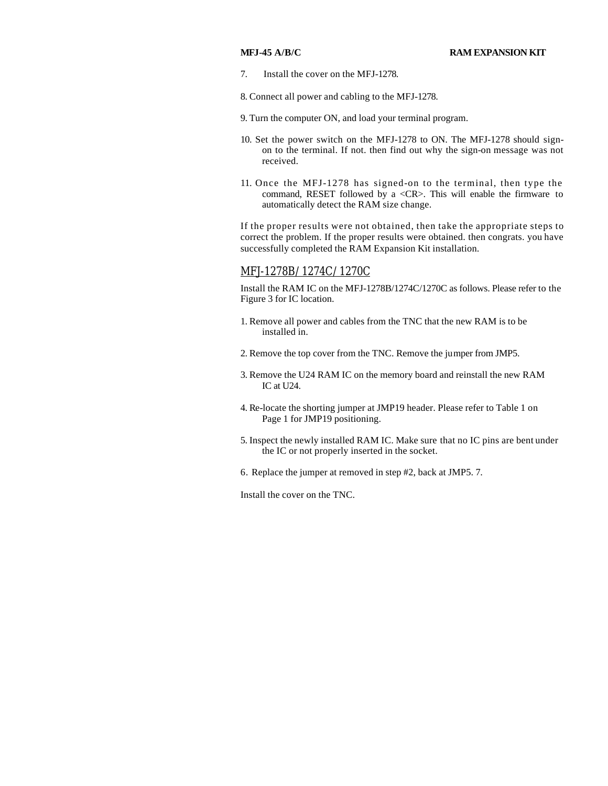7. Install the cover on the MFJ-1278.

8. Connect all power and cabling to the MFJ-1278.

- 9. Turn the computer ON, and load your terminal program.
- 10. Set the power switch on the MFJ-1278 to ON. The MFJ-1278 should signon to the terminal. If not. then find out why the sign-on message was not received.
- 11. Once the MFJ-1278 has signed-on to the terminal, then type the command, RESET followed by a <CR>. This will enable the firmware to automatically detect the RAM size change.

If the proper results were not obtained, then take the appropriate steps to correct the problem. If the proper results were obtained. then congrats. you have successfully completed the RAM Expansion Kit installation.

## MFJ-1278B/1274C/1270C

Install the RAM IC on the MFJ-1278B/1274C/1270C as follows. Please refer to the Figure 3 for IC location.

- 1. Remove all power and cables from the TNC that the new RAM is to be installed in.
- 2. Remove the top cover from the TNC. Remove the jumper from JMP5.
- 3. Remove the U24 RAM IC on the memory board and reinstall the new RAM IC at U24.
- 4. Re-locate the shorting jumper at JMP19 header. Please refer to Table 1 on Page 1 for JMP19 positioning.
- 5. Inspect the newly installed RAM IC. Make sure that no IC pins are bent under the IC or not properly inserted in the socket.
- 6. Replace the jumper at removed in step #2, back at JMP5. 7.

Install the cover on the TNC.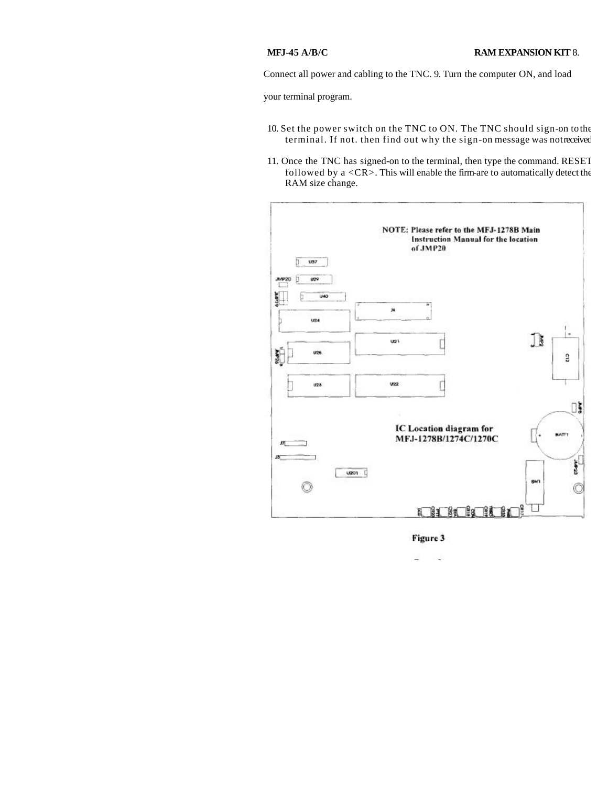Connect all power and cabling to the TNC. 9. Turn the computer ON, and load

your terminal program.

- 10. Set the power switch on the TNC to ON. The TNC should sign-on to the terminal. If not. then find out why the sign-on message was not received
- 11. Once the TNC has signed-on to the terminal, then type the command. RESET followed by a  $\langle CR \rangle$ . This will enable the firm-are to automatically detect the RAM size change.



Figure 3

í,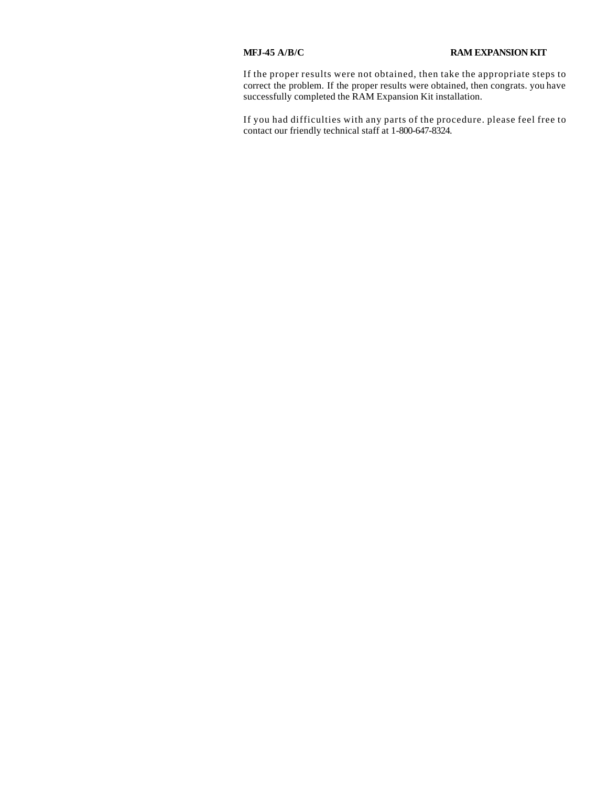If the proper results were not obtained, then take the appropriate steps to correct the problem. If the proper results were obtained, then congrats. you have successfully completed the RAM Expansion Kit installation.

If you had difficulties with any parts of the procedure. please feel free to contact our friendly technical staff at 1-800-647-8324.